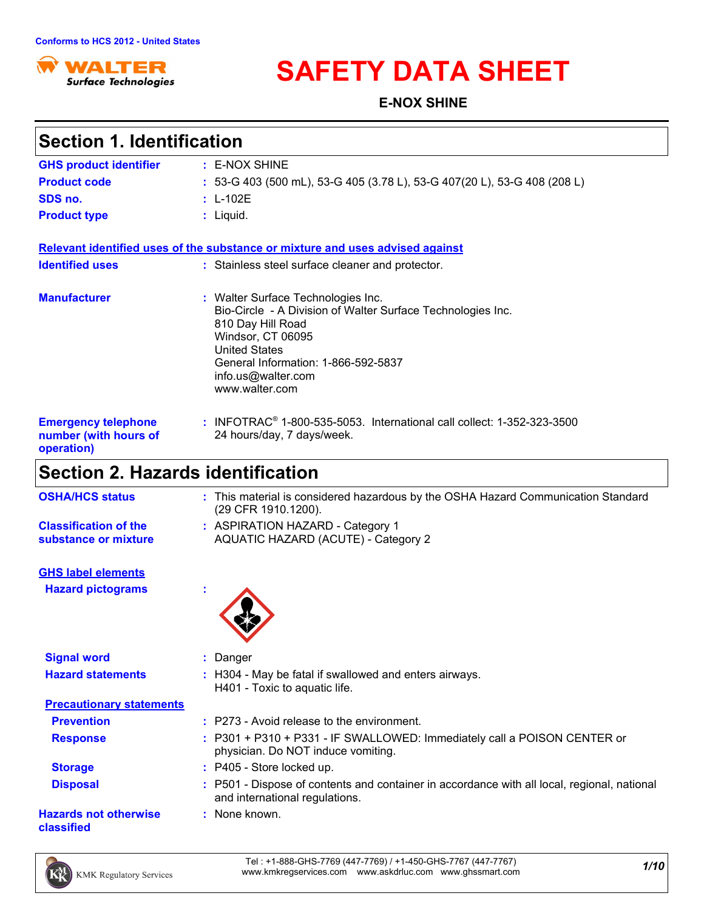

# **SAFETY DATA SHEET**

**E-NOX SHINE**

| <b>Section 1. Identification</b>                                  |                                                                                                                                                                                                                                                    |
|-------------------------------------------------------------------|----------------------------------------------------------------------------------------------------------------------------------------------------------------------------------------------------------------------------------------------------|
| <b>GHS product identifier</b>                                     | : E-NOX SHINE                                                                                                                                                                                                                                      |
| <b>Product code</b>                                               | : 53-G 403 (500 mL), 53-G 405 (3.78 L), 53-G 407(20 L), 53-G 408 (208 L)                                                                                                                                                                           |
| SDS no.                                                           | $: L-102E$                                                                                                                                                                                                                                         |
| <b>Product type</b>                                               | : Liquid.                                                                                                                                                                                                                                          |
|                                                                   | Relevant identified uses of the substance or mixture and uses advised against                                                                                                                                                                      |
| <b>Identified uses</b>                                            | : Stainless steel surface cleaner and protector.                                                                                                                                                                                                   |
| <b>Manufacturer</b>                                               | : Walter Surface Technologies Inc.<br>Bio-Circle - A Division of Walter Surface Technologies Inc.<br>810 Day Hill Road<br>Windsor, CT 06095<br><b>United States</b><br>General Information: 1-866-592-5837<br>info.us@walter.com<br>www.walter.com |
| <b>Emergency telephone</b><br>number (with hours of<br>operation) | : INFOTRAC <sup>®</sup> 1-800-535-5053. International call collect: 1-352-323-3500<br>24 hours/day, 7 days/week.                                                                                                                                   |
| <b>Section 2. Hazards identification</b>                          |                                                                                                                                                                                                                                                    |
| <b>OSHA/HCS status</b>                                            | : This material is considered hazardous by the OSHA Hazard Communication Standard<br>(29 CFR 1910.1200).                                                                                                                                           |
| <b>Classification of the</b><br>substance or mixture              | : ASPIRATION HAZARD - Category 1<br>AQUATIC HAZARD (ACUTE) - Category 2                                                                                                                                                                            |
| <b>GHS label elements</b>                                         |                                                                                                                                                                                                                                                    |
| <b>Hazard pictograms</b>                                          |                                                                                                                                                                                                                                                    |
| <b>Signal word</b>                                                | : Danger                                                                                                                                                                                                                                           |
| <b>Hazard statements</b>                                          | : H304 - May be fatal if swallowed and enters airways.<br>H401 - Toxic to aquatic life.                                                                                                                                                            |
| <b>Precautionary statements</b>                                   |                                                                                                                                                                                                                                                    |
| <b>Prevention</b>                                                 | : P273 - Avoid release to the environment.                                                                                                                                                                                                         |
| <b>Response</b>                                                   | : P301 + P310 + P331 - IF SWALLOWED: Immediately call a POISON CENTER or<br>physician. Do NOT induce vomiting.                                                                                                                                     |
| <b>Storage</b>                                                    | : P405 - Store locked up.                                                                                                                                                                                                                          |
| <b>Disposal</b>                                                   | : P501 - Dispose of contents and container in accordance with all local, regional, national<br>and international regulations.                                                                                                                      |
| <b>Hazards not otherwise</b><br>classified                        | : None known.                                                                                                                                                                                                                                      |



*1/10* Tel : +1-888-GHS-7769 (447-7769) / +1-450-GHS-7767 (447-7767) www.kmkregservices.com www.askdrluc.com www.ghssmart.com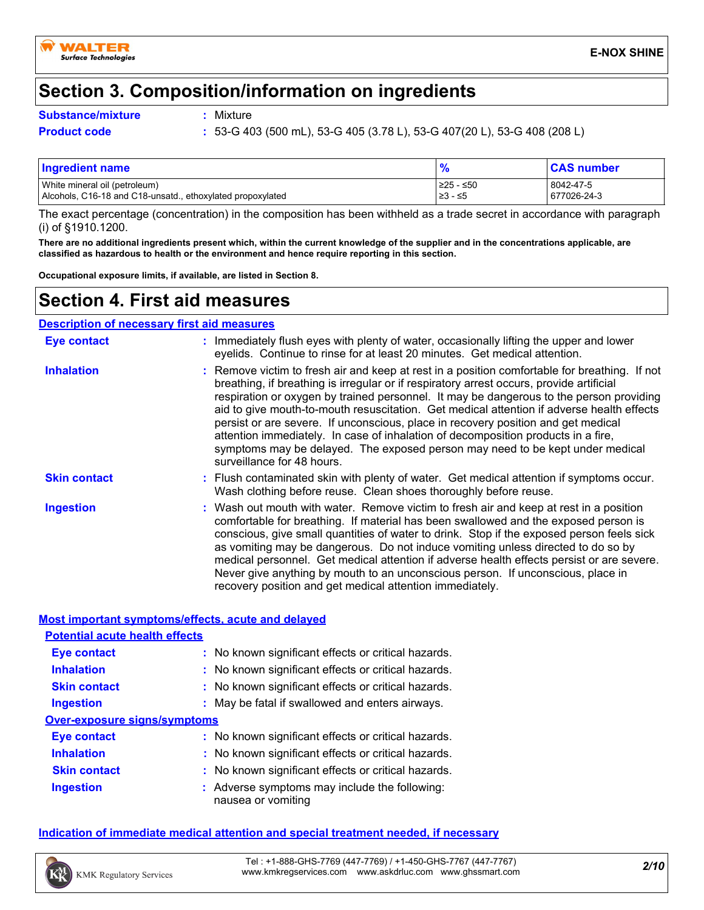

# **Section 3. Composition/information on ingredients**

#### **Substance/mixture :**

: Mixture

**Product code :** 53-G 403 (500 mL), 53-G 405 (3.78 L), 53-G 407(20 L), 53-G 408 (208 L)

| <b>Ingredient name</b>                                     |           | <b>CAS number</b> |
|------------------------------------------------------------|-----------|-------------------|
| White mineral oil (petroleum)                              | 225 - ≤50 | 8042-47-5         |
| Alcohols, C16-18 and C18-unsatd., ethoxylated propoxylated | 23 - ≤5   | 677026-24-3       |

The exact percentage (concentration) in the composition has been withheld as a trade secret in accordance with paragraph (i) of §1910.1200.

**There are no additional ingredients present which, within the current knowledge of the supplier and in the concentrations applicable, are classified as hazardous to health or the environment and hence require reporting in this section.**

**Occupational exposure limits, if available, are listed in Section 8.**

### **Section 4. First aid measures**

|                     | <b>Description of necessary first aid measures</b>                                                                                                                                                                                                                                                                                                                                                                                                                                                                                                                                                                                                                         |
|---------------------|----------------------------------------------------------------------------------------------------------------------------------------------------------------------------------------------------------------------------------------------------------------------------------------------------------------------------------------------------------------------------------------------------------------------------------------------------------------------------------------------------------------------------------------------------------------------------------------------------------------------------------------------------------------------------|
| Eye contact         | : Immediately flush eyes with plenty of water, occasionally lifting the upper and lower<br>eyelids. Continue to rinse for at least 20 minutes. Get medical attention.                                                                                                                                                                                                                                                                                                                                                                                                                                                                                                      |
| <b>Inhalation</b>   | : Remove victim to fresh air and keep at rest in a position comfortable for breathing. If not<br>breathing, if breathing is irregular or if respiratory arrest occurs, provide artificial<br>respiration or oxygen by trained personnel. It may be dangerous to the person providing<br>aid to give mouth-to-mouth resuscitation. Get medical attention if adverse health effects<br>persist or are severe. If unconscious, place in recovery position and get medical<br>attention immediately. In case of inhalation of decomposition products in a fire,<br>symptoms may be delayed. The exposed person may need to be kept under medical<br>surveillance for 48 hours. |
| <b>Skin contact</b> | : Flush contaminated skin with plenty of water. Get medical attention if symptoms occur.<br>Wash clothing before reuse. Clean shoes thoroughly before reuse.                                                                                                                                                                                                                                                                                                                                                                                                                                                                                                               |
| Ingestion           | : Wash out mouth with water. Remove victim to fresh air and keep at rest in a position<br>comfortable for breathing. If material has been swallowed and the exposed person is<br>conscious, give small quantities of water to drink. Stop if the exposed person feels sick<br>as vomiting may be dangerous. Do not induce vomiting unless directed to do so by<br>medical personnel. Get medical attention if adverse health effects persist or are severe.<br>Never give anything by mouth to an unconscious person. If unconscious, place in<br>recovery position and get medical attention immediately.                                                                 |

#### **Most important symptoms/effects, acute and delayed**

| <b>Potential acute health effects</b> |                                                                     |
|---------------------------------------|---------------------------------------------------------------------|
| Eye contact                           | : No known significant effects or critical hazards.                 |
| <b>Inhalation</b>                     | : No known significant effects or critical hazards.                 |
| <b>Skin contact</b>                   | : No known significant effects or critical hazards.                 |
| <b>Ingestion</b>                      | : May be fatal if swallowed and enters airways.                     |
| Over-exposure signs/symptoms          |                                                                     |
| Eye contact                           | : No known significant effects or critical hazards.                 |
| <b>Inhalation</b>                     | : No known significant effects or critical hazards.                 |
| <b>Skin contact</b>                   | : No known significant effects or critical hazards.                 |
| <b>Ingestion</b>                      | : Adverse symptoms may include the following:<br>nausea or vomiting |

#### **Indication of immediate medical attention and special treatment needed, if necessary**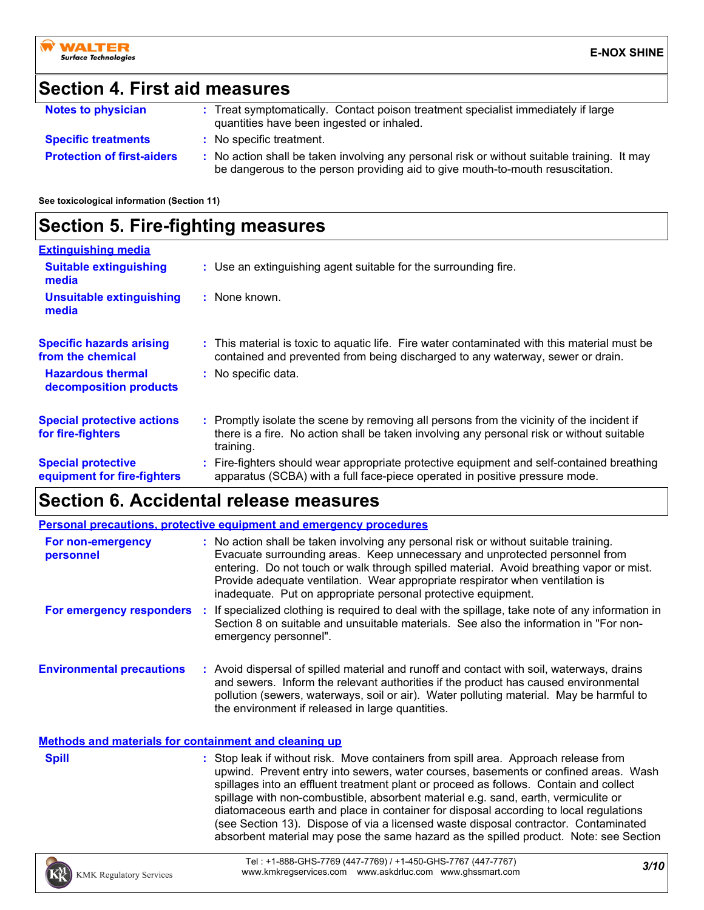# **Section 4. First aid measures**

| <b>Notes to physician</b>         | : Treat symptomatically. Contact poison treatment specialist immediately if large<br>quantities have been ingested or inhaled.                                                |
|-----------------------------------|-------------------------------------------------------------------------------------------------------------------------------------------------------------------------------|
| <b>Specific treatments</b>        | : No specific treatment.                                                                                                                                                      |
| <b>Protection of first-aiders</b> | : No action shall be taken involving any personal risk or without suitable training. It may<br>be dangerous to the person providing aid to give mouth-to-mouth resuscitation. |

**See toxicological information (Section 11)**

# **Section 5. Fire-fighting measures**

| <b>Extinguishing media</b>                               |                                                                                                                                                                                                     |
|----------------------------------------------------------|-----------------------------------------------------------------------------------------------------------------------------------------------------------------------------------------------------|
| <b>Suitable extinguishing</b><br>media                   | : Use an extinguishing agent suitable for the surrounding fire.                                                                                                                                     |
| <b>Unsuitable extinguishing</b><br>media                 | : None known.                                                                                                                                                                                       |
| <b>Specific hazards arising</b><br>from the chemical     | : This material is toxic to aguatic life. Fire water contaminated with this material must be<br>contained and prevented from being discharged to any waterway, sewer or drain.                      |
| <b>Hazardous thermal</b><br>decomposition products       | : No specific data.                                                                                                                                                                                 |
| <b>Special protective actions</b><br>for fire-fighters   | : Promptly isolate the scene by removing all persons from the vicinity of the incident if<br>there is a fire. No action shall be taken involving any personal risk or without suitable<br>training. |
| <b>Special protective</b><br>equipment for fire-fighters | : Fire-fighters should wear appropriate protective equipment and self-contained breathing<br>apparatus (SCBA) with a full face-piece operated in positive pressure mode.                            |

### **Section 6. Accidental release measures**

|                                  |      | <b>Personal precautions, protective equipment and emergency procedures</b>                                                                                                                                                                                                                                                                                                                                       |
|----------------------------------|------|------------------------------------------------------------------------------------------------------------------------------------------------------------------------------------------------------------------------------------------------------------------------------------------------------------------------------------------------------------------------------------------------------------------|
| For non-emergency<br>personnel   |      | : No action shall be taken involving any personal risk or without suitable training.<br>Evacuate surrounding areas. Keep unnecessary and unprotected personnel from<br>entering. Do not touch or walk through spilled material. Avoid breathing vapor or mist.<br>Provide adequate ventilation. Wear appropriate respirator when ventilation is<br>inadequate. Put on appropriate personal protective equipment. |
| For emergency responders         | - 11 | If specialized clothing is required to deal with the spillage, take note of any information in<br>Section 8 on suitable and unsuitable materials. See also the information in "For non-<br>emergency personnel".                                                                                                                                                                                                 |
| <b>Environmental precautions</b> |      | : Avoid dispersal of spilled material and runoff and contact with soil, waterways, drains<br>and sewers. Inform the relevant authorities if the product has caused environmental<br>pollution (sewers, waterways, soil or air). Water polluting material. May be harmful to<br>the environment if released in large quantities.                                                                                  |

**Methods and materials for containment and cleaning up**

| <b>Spill</b> | : Stop leak if without risk. Move containers from spill area. Approach release from   |
|--------------|---------------------------------------------------------------------------------------|
|              | upwind. Prevent entry into sewers, water courses, basements or confined areas. Wash   |
|              | spillages into an effluent treatment plant or proceed as follows. Contain and collect |
|              | spillage with non-combustible, absorbent material e.g. sand, earth, vermiculite or    |
|              | diatomaceous earth and place in container for disposal according to local regulations |
|              | (see Section 13). Dispose of via a licensed waste disposal contractor. Contaminated   |
|              | absorbent material may pose the same hazard as the spilled product. Note: see Section |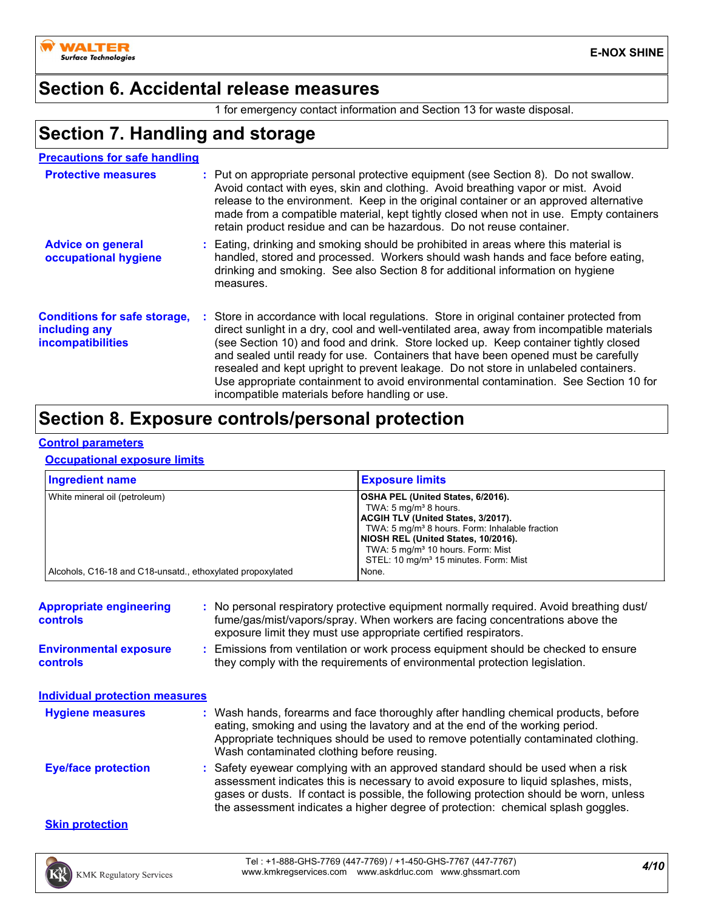

### **Section 6. Accidental release measures**

1 for emergency contact information and Section 13 for waste disposal.

# **Section 7. Handling and storage**

| <b>Precautions for safe handling</b>                                             |                                                                                                                                                                                                                                                                                                                                                                                                                                                                                                                                                                                                   |
|----------------------------------------------------------------------------------|---------------------------------------------------------------------------------------------------------------------------------------------------------------------------------------------------------------------------------------------------------------------------------------------------------------------------------------------------------------------------------------------------------------------------------------------------------------------------------------------------------------------------------------------------------------------------------------------------|
| <b>Protective measures</b>                                                       | : Put on appropriate personal protective equipment (see Section 8). Do not swallow.<br>Avoid contact with eyes, skin and clothing. Avoid breathing vapor or mist. Avoid<br>release to the environment. Keep in the original container or an approved alternative<br>made from a compatible material, kept tightly closed when not in use. Empty containers<br>retain product residue and can be hazardous. Do not reuse container.                                                                                                                                                                |
| <b>Advice on general</b><br>occupational hygiene                                 | : Eating, drinking and smoking should be prohibited in areas where this material is<br>handled, stored and processed. Workers should wash hands and face before eating,<br>drinking and smoking. See also Section 8 for additional information on hygiene<br>measures.                                                                                                                                                                                                                                                                                                                            |
| <b>Conditions for safe storage,</b><br>including any<br><b>incompatibilities</b> | Store in accordance with local regulations. Store in original container protected from<br>direct sunlight in a dry, cool and well-ventilated area, away from incompatible materials<br>(see Section 10) and food and drink. Store locked up. Keep container tightly closed<br>and sealed until ready for use. Containers that have been opened must be carefully<br>resealed and kept upright to prevent leakage. Do not store in unlabeled containers.<br>Use appropriate containment to avoid environmental contamination. See Section 10 for<br>incompatible materials before handling or use. |

# **Section 8. Exposure controls/personal protection**

#### **Control parameters**

#### **Occupational exposure limits**

| <b>Ingredient name</b>                                     | <b>Exposure limits</b>                                                                                                                                                                                                                                                                                                        |
|------------------------------------------------------------|-------------------------------------------------------------------------------------------------------------------------------------------------------------------------------------------------------------------------------------------------------------------------------------------------------------------------------|
| White mineral oil (petroleum)                              | OSHA PEL (United States, 6/2016).<br>TWA: $5 \text{ mg/m}^3$ 8 hours.<br><b>ACGIH TLV (United States, 3/2017).</b><br>TWA: 5 mg/m <sup>3</sup> 8 hours. Form: Inhalable fraction<br>NIOSH REL (United States, 10/2016).<br>TWA: 5 mg/m <sup>3</sup> 10 hours. Form: Mist<br>STEL: 10 mg/m <sup>3</sup> 15 minutes. Form: Mist |
| Alcohols, C16-18 and C18-unsatd., ethoxylated propoxylated | None.                                                                                                                                                                                                                                                                                                                         |

| <b>Appropriate engineering</b><br><b>controls</b> | : No personal respiratory protective equipment normally required. Avoid breathing dust/<br>fume/gas/mist/vapors/spray. When workers are facing concentrations above the<br>exposure limit they must use appropriate certified respirators.                                                                                                            |
|---------------------------------------------------|-------------------------------------------------------------------------------------------------------------------------------------------------------------------------------------------------------------------------------------------------------------------------------------------------------------------------------------------------------|
| <b>Environmental exposure</b><br><b>controls</b>  | : Emissions from ventilation or work process equipment should be checked to ensure<br>they comply with the requirements of environmental protection legislation.                                                                                                                                                                                      |
| <b>Individual protection measures</b>             |                                                                                                                                                                                                                                                                                                                                                       |
| <b>Hygiene measures</b>                           | : Wash hands, forearms and face thoroughly after handling chemical products, before<br>eating, smoking and using the lavatory and at the end of the working period.<br>Appropriate techniques should be used to remove potentially contaminated clothing.<br>Wash contaminated clothing before reusing.                                               |
| <b>Eye/face protection</b>                        | : Safety eyewear complying with an approved standard should be used when a risk<br>assessment indicates this is necessary to avoid exposure to liquid splashes, mists,<br>gases or dusts. If contact is possible, the following protection should be worn, unless<br>the assessment indicates a higher degree of protection: chemical splash goggles. |
| <b>Skin protection</b>                            |                                                                                                                                                                                                                                                                                                                                                       |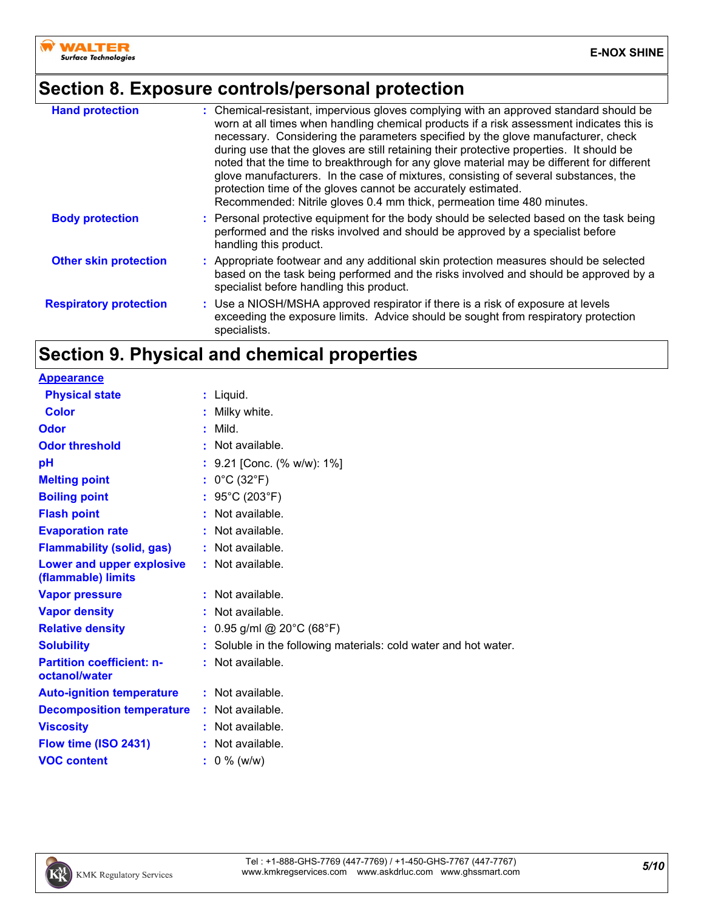

# **Section 8. Exposure controls/personal protection**

| <b>Hand protection</b>        | : Chemical-resistant, impervious gloves complying with an approved standard should be<br>worn at all times when handling chemical products if a risk assessment indicates this is<br>necessary. Considering the parameters specified by the glove manufacturer, check<br>during use that the gloves are still retaining their protective properties. It should be<br>noted that the time to breakthrough for any glove material may be different for different<br>glove manufacturers. In the case of mixtures, consisting of several substances, the<br>protection time of the gloves cannot be accurately estimated.<br>Recommended: Nitrile gloves 0.4 mm thick, permeation time 480 minutes. |
|-------------------------------|--------------------------------------------------------------------------------------------------------------------------------------------------------------------------------------------------------------------------------------------------------------------------------------------------------------------------------------------------------------------------------------------------------------------------------------------------------------------------------------------------------------------------------------------------------------------------------------------------------------------------------------------------------------------------------------------------|
| <b>Body protection</b>        | : Personal protective equipment for the body should be selected based on the task being<br>performed and the risks involved and should be approved by a specialist before<br>handling this product.                                                                                                                                                                                                                                                                                                                                                                                                                                                                                              |
| <b>Other skin protection</b>  | : Appropriate footwear and any additional skin protection measures should be selected<br>based on the task being performed and the risks involved and should be approved by a<br>specialist before handling this product.                                                                                                                                                                                                                                                                                                                                                                                                                                                                        |
| <b>Respiratory protection</b> | : Use a NIOSH/MSHA approved respirator if there is a risk of exposure at levels<br>exceeding the exposure limits. Advice should be sought from respiratory protection<br>specialists.                                                                                                                                                                                                                                                                                                                                                                                                                                                                                                            |

# **Section 9. Physical and chemical properties**

| <b>Appearance</b>                                 |                                                                 |
|---------------------------------------------------|-----------------------------------------------------------------|
| <b>Physical state</b>                             | : Liquid.                                                       |
| <b>Color</b>                                      | : Milky white.                                                  |
| Odor                                              | $:$ Mild.                                                       |
| <b>Odor threshold</b>                             | $:$ Not available.                                              |
| pH                                                | $: 9.21$ [Conc. (% w/w): 1%]                                    |
| <b>Melting point</b>                              | : $0^{\circ}$ C (32 $^{\circ}$ F)                               |
| <b>Boiling point</b>                              | : $95^{\circ}$ C (203 $^{\circ}$ F)                             |
| <b>Flash point</b>                                | : Not available.                                                |
| <b>Evaporation rate</b>                           | : Not available.                                                |
| <b>Flammability (solid, gas)</b>                  | : Not available.                                                |
| Lower and upper explosive<br>(flammable) limits   | : Not available.                                                |
| <b>Vapor pressure</b>                             | : Not available.                                                |
| <b>Vapor density</b>                              | $:$ Not available.                                              |
| <b>Relative density</b>                           | : $0.95$ g/ml @ 20°C (68°F)                                     |
| <b>Solubility</b>                                 | : Soluble in the following materials: cold water and hot water. |
| <b>Partition coefficient: n-</b><br>octanol/water | : Not available.                                                |
| <b>Auto-ignition temperature</b>                  | : Not available.                                                |
| <b>Decomposition temperature</b>                  | : Not available.                                                |
| <b>Viscosity</b>                                  | : Not available.                                                |
| Flow time (ISO 2431)                              | : Not available.                                                |
| <b>VOC content</b>                                | $: 0 \%$ (w/w)                                                  |

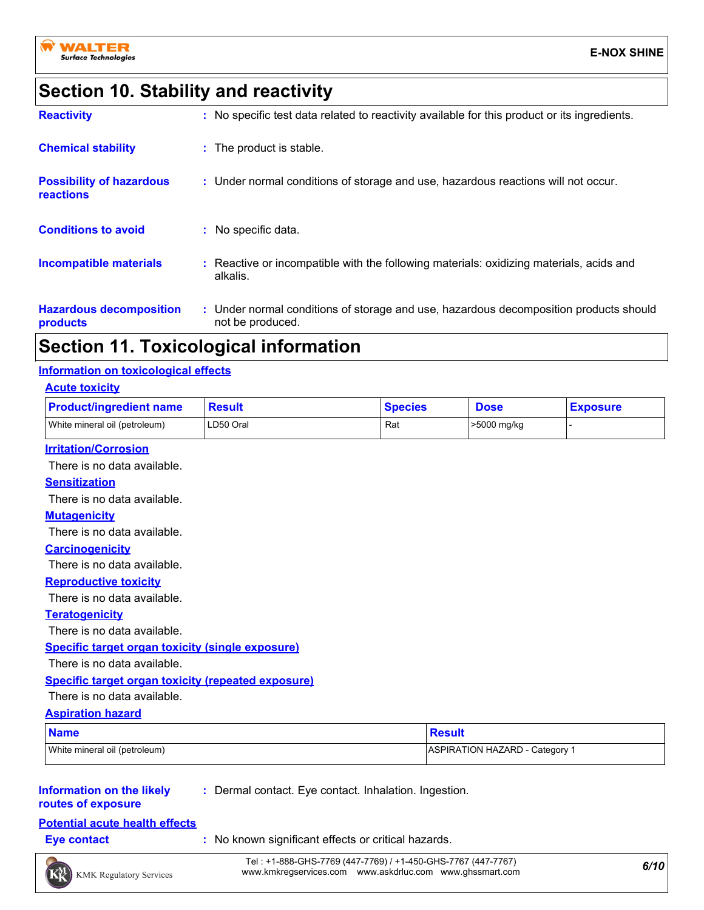# **Section 10. Stability and reactivity**

| <b>Reactivity</b>                            | : No specific test data related to reactivity available for this product or its ingredients.              |
|----------------------------------------------|-----------------------------------------------------------------------------------------------------------|
| <b>Chemical stability</b>                    | : The product is stable.                                                                                  |
| <b>Possibility of hazardous</b><br>reactions | : Under normal conditions of storage and use, hazardous reactions will not occur.                         |
| <b>Conditions to avoid</b>                   | : No specific data.                                                                                       |
| <b>Incompatible materials</b>                | : Reactive or incompatible with the following materials: oxidizing materials, acids and<br>alkalis.       |
| <b>Hazardous decomposition</b><br>products   | : Under normal conditions of storage and use, hazardous decomposition products should<br>not be produced. |

### **Section 11. Toxicological information**

#### **Information on toxicological effects**

| <b>Acute toxicity</b>                                     |               |                |             |                 |
|-----------------------------------------------------------|---------------|----------------|-------------|-----------------|
| <b>Product/ingredient name</b>                            | <b>Result</b> | <b>Species</b> | <b>Dose</b> | <b>Exposure</b> |
| White mineral oil (petroleum)                             | LD50 Oral     | Rat            | >5000 mg/kg |                 |
| <b>Irritation/Corrosion</b>                               |               |                |             |                 |
| There is no data available.                               |               |                |             |                 |
| <b>Sensitization</b>                                      |               |                |             |                 |
| There is no data available.                               |               |                |             |                 |
| <b>Mutagenicity</b>                                       |               |                |             |                 |
| There is no data available.                               |               |                |             |                 |
| <b>Carcinogenicity</b>                                    |               |                |             |                 |
| There is no data available.                               |               |                |             |                 |
| <b>Reproductive toxicity</b>                              |               |                |             |                 |
| There is no data available.                               |               |                |             |                 |
| <b>Teratogenicity</b>                                     |               |                |             |                 |
| There is no data available.                               |               |                |             |                 |
| <b>Specific target organ toxicity (single exposure)</b>   |               |                |             |                 |
| There is no data available.                               |               |                |             |                 |
| <b>Specific target organ toxicity (repeated exposure)</b> |               |                |             |                 |

#### There is no data available.

#### **Aspiration hazard**

| <b>Name</b>                   | Result                       |  |
|-------------------------------|------------------------------|--|
| White mineral oil (petroleum) | ASPIRATION HAZARD - Category |  |

#### **Information on the likely routes of exposure**

**:** Dermal contact. Eye contact. Inhalation. Ingestion.

### **Potential acute health effects**

- 
- **Eye contact :** No known significant effects or critical hazards.

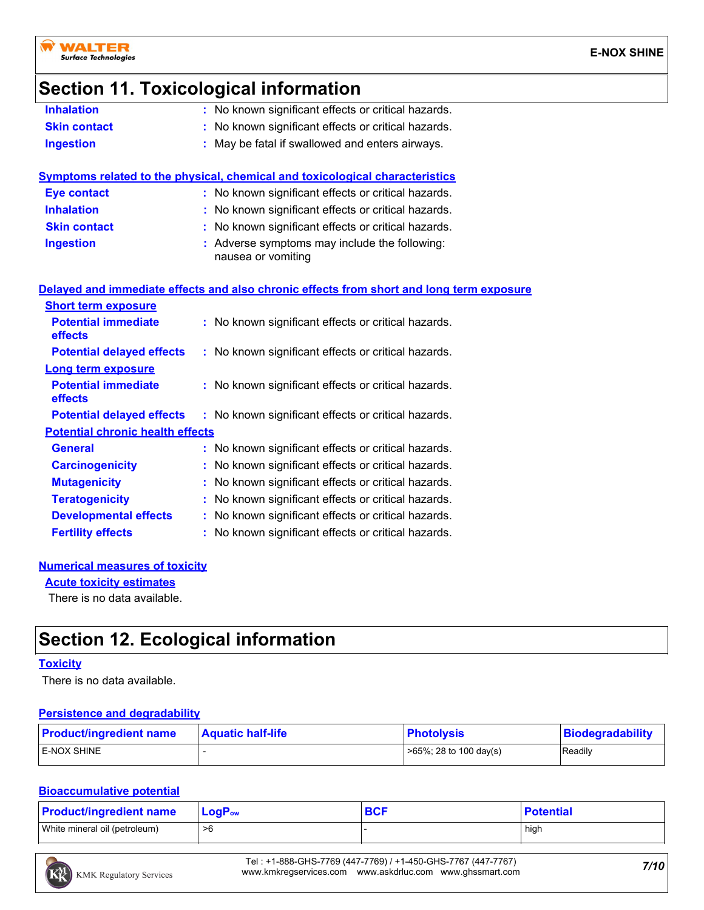

### **Section 11. Toxicological information**

| <b>Inhalation</b>                       | : No known significant effects or critical hazards.                                      |  |
|-----------------------------------------|------------------------------------------------------------------------------------------|--|
| <b>Skin contact</b>                     | : No known significant effects or critical hazards.                                      |  |
| <b>Ingestion</b>                        | : May be fatal if swallowed and enters airways.                                          |  |
|                                         | Symptoms related to the physical, chemical and toxicological characteristics             |  |
| <b>Eye contact</b>                      | : No known significant effects or critical hazards.                                      |  |
| <b>Inhalation</b>                       | : No known significant effects or critical hazards.                                      |  |
| <b>Skin contact</b>                     | : No known significant effects or critical hazards.                                      |  |
| <b>Ingestion</b>                        | : Adverse symptoms may include the following:<br>nausea or vomiting                      |  |
|                                         | Delayed and immediate effects and also chronic effects from short and long term exposure |  |
| <b>Short term exposure</b>              |                                                                                          |  |
| <b>Potential immediate</b><br>effects   | : No known significant effects or critical hazards.                                      |  |
| <b>Potential delayed effects</b>        | : No known significant effects or critical hazards.                                      |  |
| <b>Long term exposure</b>               |                                                                                          |  |
| <b>Potential immediate</b><br>effects   | : No known significant effects or critical hazards.                                      |  |
| <b>Potential delayed effects</b>        | : No known significant effects or critical hazards.                                      |  |
| <b>Potential chronic health effects</b> |                                                                                          |  |
| <b>General</b>                          | : No known significant effects or critical hazards.                                      |  |
| <b>Carcinogenicity</b>                  | : No known significant effects or critical hazards.                                      |  |
| <b>Mutagenicity</b>                     | : No known significant effects or critical hazards.                                      |  |
| <b>Teratogenicity</b>                   | : No known significant effects or critical hazards.                                      |  |

### **Developmental effects :** No known significant effects or critical hazards.

**Fertility effects** : No known significant effects or critical hazards.

#### **Numerical measures of toxicity**

**Acute toxicity estimates**

There is no data available.

# **Section 12. Ecological information**

#### **Toxicity**

There is no data available.

#### **Persistence and degradability**

| <b>Product/ingredient name</b><br><b>Aquatic half-life</b> |  | <b>Photolysis</b>          | Biodegradability |  |
|------------------------------------------------------------|--|----------------------------|------------------|--|
| <b>LE-NOX SHINE</b>                                        |  | $>65\%$ ; 28 to 100 day(s) | Readily          |  |

#### **Bioaccumulative potential**

| <b>Product/ingredient name</b> | $LogPow$ | <b>BCF</b> | <b>Potential</b> |
|--------------------------------|----------|------------|------------------|
| White mineral oil (petroleum)  | >6       |            | high             |

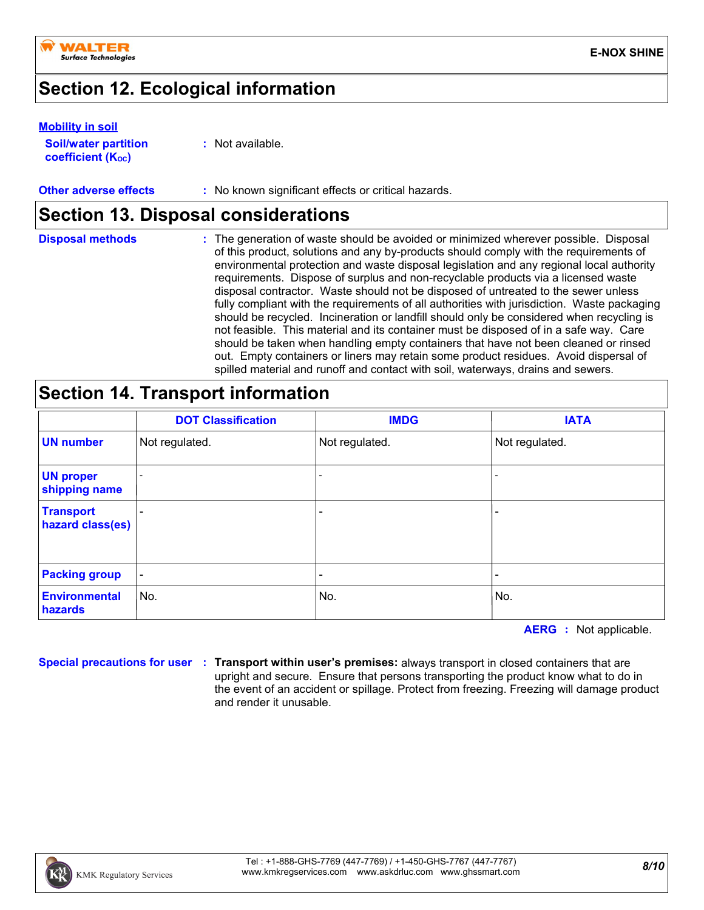

# **Section 12. Ecological information**

#### **Soil/water partition coefficient (KOC) Mobility in soil**

**:** Not available.

#### **Other adverse effects** : No known significant effects or critical hazards.

# **Section 13. Disposal considerations**

| <b>Disposal methods</b> | The generation of waste should be avoided or minimized wherever possible. Disposal<br>of this product, solutions and any by-products should comply with the requirements of<br>environmental protection and waste disposal legislation and any regional local authority<br>requirements. Dispose of surplus and non-recyclable products via a licensed waste<br>disposal contractor. Waste should not be disposed of untreated to the sewer unless<br>fully compliant with the requirements of all authorities with jurisdiction. Waste packaging<br>should be recycled. Incineration or landfill should only be considered when recycling is<br>not feasible. This material and its container must be disposed of in a safe way. Care<br>should be taken when handling empty containers that have not been cleaned or rinsed<br>out. Empty containers or liners may retain some product residues. Avoid dispersal of |
|-------------------------|-----------------------------------------------------------------------------------------------------------------------------------------------------------------------------------------------------------------------------------------------------------------------------------------------------------------------------------------------------------------------------------------------------------------------------------------------------------------------------------------------------------------------------------------------------------------------------------------------------------------------------------------------------------------------------------------------------------------------------------------------------------------------------------------------------------------------------------------------------------------------------------------------------------------------|
|                         | spilled material and runoff and contact with soil, waterways, drains and sewers.                                                                                                                                                                                                                                                                                                                                                                                                                                                                                                                                                                                                                                                                                                                                                                                                                                      |

## **Section 14. Transport information**

|                                      | <b>DOT Classification</b> | <b>IMDG</b>    | <b>IATA</b>              |
|--------------------------------------|---------------------------|----------------|--------------------------|
| <b>UN number</b>                     | Not regulated.            | Not regulated. | Not regulated.           |
| <b>UN proper</b><br>shipping name    |                           |                | $\overline{\phantom{a}}$ |
| <b>Transport</b><br>hazard class(es) | $\qquad \qquad$           |                | $\overline{\phantom{a}}$ |
| <b>Packing group</b>                 | $\blacksquare$            |                | $\overline{\phantom{0}}$ |
| <b>Environmental</b><br>hazards      | No.                       | No.            | No.                      |

**AERG :** Not applicable.

**Special precautions for user Transport within user's premises:** always transport in closed containers that are **:** upright and secure. Ensure that persons transporting the product know what to do in the event of an accident or spillage. Protect from freezing. Freezing will damage product and render it unusable.

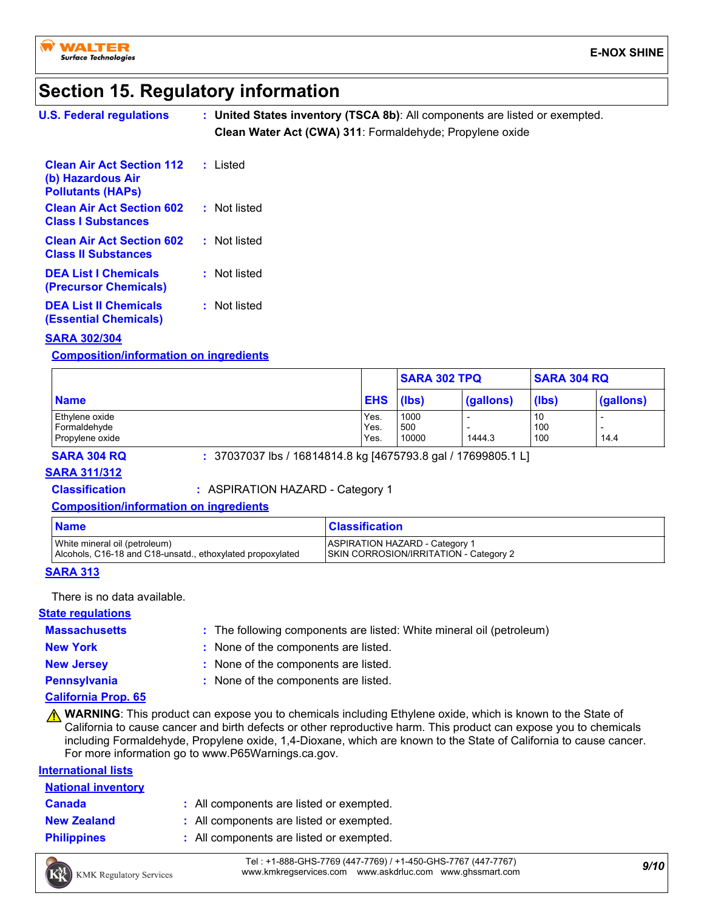

# **Section 15. Regulatory information**

| <b>U.S. Federal regulations</b>                                                   | : United States inventory (TSCA 8b): All components are listed or exempted.<br>Clean Water Act (CWA) 311: Formaldehyde; Propylene oxide |
|-----------------------------------------------------------------------------------|-----------------------------------------------------------------------------------------------------------------------------------------|
| <b>Clean Air Act Section 112</b><br>(b) Hazardous Air<br><b>Pollutants (HAPs)</b> | : Listed                                                                                                                                |
| <b>Clean Air Act Section 602</b><br><b>Class I Substances</b>                     | : Not listed                                                                                                                            |
| <b>Clean Air Act Section 602</b><br><b>Class II Substances</b>                    | : Not listed                                                                                                                            |
| <b>DEA List I Chemicals</b><br><b>(Precursor Chemicals)</b>                       | : Not listed                                                                                                                            |
| <b>DEA List II Chemicals</b><br><b>(Essential Chemicals)</b>                      | : Not listed                                                                                                                            |

#### **SARA 302/304**

#### **Composition/information on ingredients**

|                 |            | <b>SARA 302 TPQ</b> |           | <b>SARA 304 RQ</b> |           |
|-----------------|------------|---------------------|-----------|--------------------|-----------|
| <b>Name</b>     | <b>EHS</b> | (lbs)               | (gallons) | (lbs)              | (gallons) |
| Ethylene oxide  | Yes.       | 1000                |           | 10                 |           |
| Formaldehyde    | Yes.       | 500                 |           | 100                |           |
| Propylene oxide | Yes.       | 10000               | 1444.3    | 100                | 14.4      |

**SARA 304 RQ :** 37037037 lbs / 16814814.8 kg [4675793.8 gal / 17699805.1 L]

#### **SARA 311/312**

**Classification :** ASPIRATION HAZARD - Category 1

**Composition/information on ingredients**

| <b>Name</b>                                                | <b>Classification</b>                         |
|------------------------------------------------------------|-----------------------------------------------|
| White mineral oil (petroleum)                              | <b>ASPIRATION HAZARD - Category 1</b>         |
| Alcohols, C16-18 and C18-unsatd., ethoxylated propoxylated | <b>SKIN CORROSION/IRRITATION - Category 2</b> |

#### **SARA 313**

There is no data available.

#### **State regulations**

#### **Massachusetts**

The following components are listed: White mineral oil (petroleum) **:**

- 
- **New York :** None of the components are listed.

**New Jersey :** None of the components are listed.

**Pennsylvania :** None of the components are listed.

#### **California Prop. 65**

**A WARNING**: This product can expose you to chemicals including Ethylene oxide, which is known to the State of California to cause cancer and birth defects or other reproductive harm. This product can expose you to chemicals including Formaldehyde, Propylene oxide, 1,4-Dioxane, which are known to the State of California to cause cancer. For more information go to www.P65Warnings.ca.gov.

#### **International lists**

| <b>National inventory</b> |                                          |
|---------------------------|------------------------------------------|
| <b>Canada</b>             | : All components are listed or exempted. |
| <b>New Zealand</b>        | : All components are listed or exempted. |
| <b>Philippines</b>        | : All components are listed or exempted. |

*9/10* Tel : +1-888-GHS-7769 (447-7769) / +1-450-GHS-7767 (447-7767) www.kmkregservices.com www.askdrluc.com www.ghssmart.com